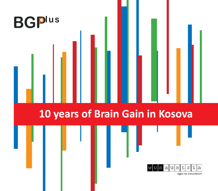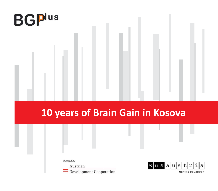

# **10 years of Brain Gain in Kosova**

financed by

Austrian

Development Cooperation

 $|{\rm u}\|{\rm s}\|$ t i la  $|a|$  $\mathbb S$  $\Upsilon$ W u

right to education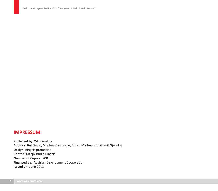### **IMPRESSUM:**

**Published by:** WUS Austria **Authors:** But Dedaj, Mjellma Carabregu, Alfred Marleku and Granit Gjevukaj **Design:** Ringeis promotion **Printed:** Dizajn studio Ringeis **Number of Copies:** 200 **Financed by**: Austrian Development Cooperation **Issued on:** June 2011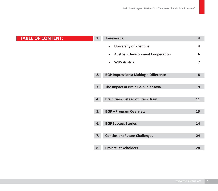# **TABLE OF CONTENT:**

| ŧ | 1. | <b>Forewords:</b>                                    | 4  |
|---|----|------------------------------------------------------|----|
|   |    | <b>University of Prishtina</b><br>$\bullet$          | 4  |
|   |    | <b>Austrian Development Cooperation</b><br>$\bullet$ | 6  |
|   |    | <b>WUS Austria</b><br>$\bullet$                      | 7  |
|   | 2. | <b>BGP Impressions: Making a Difference</b>          | 8  |
|   |    |                                                      |    |
|   | 3. | The Impact of Brain Gain in Kosova                   | 9  |
|   |    |                                                      |    |
|   | 4. | <b>Brain Gain instead of Brain Drain</b>             | 11 |
|   |    |                                                      |    |
|   | 5. | <b>BGP - Program Overview</b>                        | 13 |
|   |    |                                                      |    |
|   | 6. | <b>BGP Success Stories</b>                           | 14 |
|   |    |                                                      |    |
|   | 7. | <b>Conclusion: Future Challenges</b>                 | 24 |
|   |    |                                                      |    |
|   | 8. | <b>Project Stakeholders</b>                          | 28 |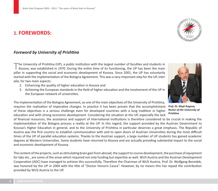# **1. FOREWORDS:**



### *Foreword by University of Prish- na*

The University of Prishtina (UP), a public institution with the largest number of faculties and students in<br>Kosova, was established in 1970. During the entire time of its functioning, the UP has been the main ina (UP), a public institution with the largest number of faculti pillar in supporting the social and economic development of Kosova. Since 2001, the UP has voluntarily started with the implementation of the Bologna Agreement. This was a very important step for the UP, *inter alia*, for two main aspects:

- 2. Enhancing the quality of higher education in Kosova and
- 3. Achieving the European standards in the field of higher education and the involvement of the UP in the European network of universities.



The implementation of the Bologna Agreement, as one of the main objectives of the University of Prishtina, requires the realization of imperative changes. In practice it has been proven that the accomplishment of these objectives is a serious challenge even for developed countries with a long tradition in higher education and with strong economic development. Considering the situation at the UP, especially the lack

of financial resources, the assistance and support of international institutions is therefore considered to be crucial in making the implementation of the Bologna process a reality at the UP. In this regard, the support provided by the Austrian Government to Kosova's Higher Education in general, and to the University of Prishtina in particular deserves a great emphasis. The Republic of Austria was the first country to establish communication with and to open doors of Austrian Universities during the most difficult times of the UP of parallel education systems. Thanks to the Austrian support, a large number of UP students has gained academic degrees at Western Universities. Some students have returned to Kosova and are actually providing substantial impact to the social and economic development of Kosova.

The content of the projects, such as stimulating brain gain from abroad, the support to course development, the purchase of equipment for labs etc., are some of the areas which required not only funding but expertise as well. WUS Austria and the Austrian Development Cooperation (ADC) have managed to achieve this successfully. Therefore the Chairman of WUS Austria, Prof. Dr. Wolfgang Benedek, was honored by the UP in 2004 with the title of "Doctor Honoris Causa". However, by no means this has repaid the contribution provided by WUS Austria to the UP.

*Prof. Dr. Mujё Rugova, Rector of the University of Prish- na*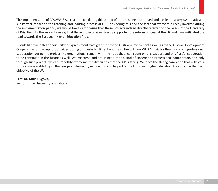The implementation of ADC/WUS Austria projects during this period of time has been continued and has led to a very systematic and substantial impact on the teaching and learning process at UP. Considering this and the fact that we were directly involved during the implementation period, we would like to emphasise that these projects indeed directly referred to the needs of the University of Prishtina. Furthermore, I can say that these projects have directly supported the reform process at the UP and have mitigated the road towards the European Higher Education Area.

I would like to use this opportunity to express my utmost gratitude to the Austrian Government as well as to the Austrian Development Cooperation for the support provided during this period of time. I would also like to thank WUS Austria for the sincere and professional cooperation during the project implementation. I remain with the hope that I can count on this support and this fruitful cooperation to be continued in the future as well. We welcome and are in need of this kind of sincere and professional cooperation, and only through such projects we can smoothly overcome the difficulties that the UP is facing. We have the strong conviction that with your support we are able to join the European University Association and be part of the European Higher Education Area which is the main objective of the UP.

#### **Prof. Dr. Mujё Rugova,**

Rector of the University of Prishtina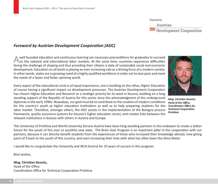# *Foreword by Austrian Development Coopera- on (ADC)*

well founded education and continuous learning are necessary preconditions for graduates to succeed<br>Non the national and international labor markets. At the same time, countries experience difficulties ion and continuous learning are necessary preconditi facing the challenge of shaping and thus providing their citizens a state of sustainable social and economic development. Education on all levels is playing an ever increasing role as a driving force of a modern society. In other words, states are in growing need of a highly qualified workforce in order not to lose pace and meet the needs of a faster and faster spinning world.

Every aspect of the educational circle is of equal importance, one is building on the other, Higher Education of course having a significant impact on development processes. The Austrian Development Cooperation has chosen Higher Education and Research as a strategic priority for its work in Kosovo, building on a long standing support of the Republic of Austria for this sector since the acknowledgment of the underground diplomas in the early 1990s. Nowadays, our goal must be to contribute to the creation of modern conditions for the country's youth at higher education institutions as well as to help preparing students for the labor market. Therefore, amongst others, the ADC assists in the implementation of the Bologna process framework, quality assurance systems for Kosovo's higher education sector, and creates links between the relevant institutions in Kosovo with others in Austria and Europe.

The University of Prishtina and World University Service Austria have been long standing partners in this endeavor to create a better future for the youth of this ever so youthful new state. The Brain Gain Program is an important pillar in the cooperation with our partners, because it can directly benefit students from the experiences of those who increased their knowledge abroad, now giving parts of it back to the youth of this country, and even increasing their links with what has often been the Alma Mater.

I would like to congratulate the University and WUS Austria for 10 years of success in this program.

Best wishes,

#### **Mag. Christian Geosits,** Head of the Office Coordination Office for Technical Cooperation Prishtina



*Mag. Chris- an Geosits,*  **Head of the Office,** *Coordina- on Offi ce for Technical Cooperation Prish- na*

financed by

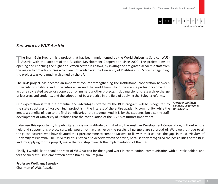

right to education

### *Foreword by WUS Austria*

The Brain Gain Program is a project that has been implemented by the World University Service (WUS)<br>Austria with the support of the Austrian Development Cooperation since 2002. The project aims at opening and enriching the higher education sector in Kosova, by inviting the emigrated academic staff from the region to provide courses which are not available at the University of Prishtina (UP). Since its beginning, the project was very much welcomed by the UP.



*Professor Wolfgang Benedek, Chairman of WUS Austria* 

The BGP project has become an important tool for strengthening the institutional cooperation between University of Prishtina and universities all around the world from which the visiting professors come. This action also created space for cooperation on numerous other projects, including scientific research, exchange of lecturers and students, and the adoption of best practice in the field of applying the Bologna reforms.

Our expectation is that the potential and advantages offered by the BGP program will be recognized by the state structures of Kosova. Such project is in the interest of the entire academic community, while the greatest benefits of it go to the final beneficiaries - the students. And, it is for the students, but also the staffdevelopment of University of Prishtina that the continuation of the BGP is of utmost importance.

I also use this opportunity to publicity express my gratitude to, first of all, the Austrian Development Cooperation, without whose help and support this project certainly would not have achieved the results all partners are so proud of. We owe gratitude to all the guest lecturers who have devoted their precious time to come to Kosova, to fill with their courses the gaps in the curriculum of University of Prishtina. The University of Prishtina also deserve words of praise, because they recognized the possibilities of the BGP, and, by applying for the project, made the first step towards the implementation of the BGP.

Finally, I would like to thank the staff of WUS Austria for their good work in coordination, communication with all stakeholders and for the successful implementation of the Brain Gain Program.

#### **Professor Wolfgang Benedek** Chairman of WUS Austria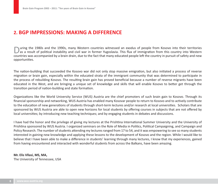# **2. BGP IMPRESSIONS: MAKING A DIFFERENCE**

 $\bigcup$ uring the 1980s and the 1990s, many Western countries witnessed an exodus of people from Kosovo into their territories<br>Das a result of political instability and civil war in former Yugoslavia. This flux of immigratio countries was accompanied by a brain drain, due to the fact that many educated people left the country in pursuit of safety and new opportunities.

The nation-building that succeeded the Kosovo war did not only stop massive emigration, but also initiated a process of reverse migration or brain gain, especially within the educated strata of the immigrant community that was determined to participate in the process of rebuilding Kosovo. The resulting brain gain has proved beneficial because a number of reverse migrants have been educated in the West, and are bringing a unique set of knowledge and skills that will enable Kosovo to better get through the transition period of nation-building and state formation.

Organizations like the World University Service (WUS) Austria are the chief promoters of such brain gain to Kosovo. Through its financial sponsorship and networking, WUS Austria has enabled many Kosovar people to return to Kosovo and to actively contribute to the education of new generations of students through short-term lectures and/or research at local universities. Scholars that are sponsored by WUS Austria are able to open new horizons for local students by offering courses in subjects that are not offered by local universities; by introducing new teaching techniques; and by engaging students in debates and discussions.

I have had the honor and the privilege of giving my lectures at the Prishtina International Summer University and the University of Prishtina sponsored by WUS Austria. I organized seminars on the Role of Media in Politics, Political Campaigning, and Campaign and Policy Research. The number of students attending my lectures ranged from 17 to 54, and it was empowering to see so many students interested in gaining new knowledge and applying these lessons to the development of Kosovo and the region. While I would like to believe that I have been able to make a difference in students' learning through many lectures, I know that my experiences, gained from having encountered and interacted with wonderful students from across the Balkans, have been amazing.

**Mr. Elis Vllasi, MS, MA,**  The University of Tennessee, USA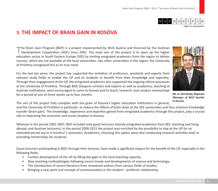

right to education

## **3. THE IMPACT OF BRAIN GAIN IN KOSOVA**

The Brain Gain Program (BGP) is a project implemented by WUS Austria and financed by the Austrian<br>Development Cooperation (ADC) since 2002. The main aim of the project is to open up the higher education sector in South Eastern Europe (SEE) by inviting emigrated academics from the region to deliver courses, which are not available at the local universities. Like other universities in the region, the University of Prishtina recognized this as its true need.

For the last ten years, the project has supported the invitation of professors, assistants and experts from relevant study fields to enable the UP and its students to benefit from their knowledge and expertise. Through their engagement at the UP, the emigrated academics also supported the ongoing reform processes at the University of Prishtina. Through BGP, Diaspora scholars and experts as well as academics, teaching at Austrian institutions, were encouraged to come to Kosova and to teach, research, and conduct mentorships for a period of one to three weeks up to four months.



*Mr. Sc. But Dedaj, Regional Manager of WUS Austria in Kosova*

The aim of the project fully complies with the goals of Kosova's higher education institutions in general,

and the University of Prishtina in particular: to reduce the effects of brain drain at the SEE universities and thus enhance knowledge transfer (brain gain). The knowledge, experience and expertise gained from emigrated academics through this project, play a crucial role in improving the economic and social situation in Kosova.

Whereas in the period 2002-2007, BGP included only guest lecturers (mostly emigrated academics from SEE, teaching and living abroad, and Austrian lecturers), in the period 2008-2011 the project was enriched by the possibility to stay at the UP for an extended period (up to 4 months/ 1 semester). Academics, choosing this option were also conducting research activities and/ or providing mentorships for students.

Guest lecturers participating in BGP, through their lectures, have made a significant impact for the benefit of the UP, especially in the following fields:

- Further development of the UP by filling the gaps in the local teaching capacity;
- New teaching methodologies following recent trends and developments of science and technology;
- The introduction of recent literature from renowned authors from various fields of studies;
- Bringing a new spirit and concept of communication in the student professor relationship;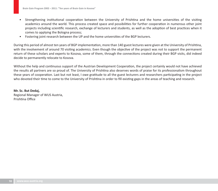- Strengthening institutional cooperation between the University of Prishtina and the home universities of the visiting academics around the world. This process created space and possibilities for further cooperation in numerous other joint projects including scientific research, exchange of lecturers and students, as well as the adoption of best practices when it comes to applying the Bologna process;
- Fostering joint research between the UP and the home universities of the BGP lecturers.

During this period of almost ten years of BGP implementation, more than 140 guest lectures were given at the University of Prishtina, with the involvement of around 70 visiting academics. Even though the objective of the project was not to support the permanent return of these scholars and experts to Kosova, some of them, through the connections created during their BGP visits, did indeed decide to permanently relocate to Kosova.

Without the help and continuous support of the Austrian Development Cooperation, the project certainly would not have achieved the results all partners are so proud of. The University of Prishtina also deserves words of praise for its professionalism throughout these years of cooperation. Last but not least, I owe gratitude to all the guest lecturers and researchers participating in the project who devoted their time to come to the University of Prishtina in order to fill existing gaps in the areas of teaching and research.

**Mr. Sc. But Dedaj,** Regional Manager of WUS Austria, Prishtina Office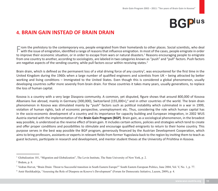# **BGPlus**

# **4. BRAIN GAIN INSTEAD OF BRAIN DRAIN**

 $\blacksquare$  rom the prehistory to the contemporary era, people emigrated from their homelands to other places. Social scientists, who deal  $\blacksquare$  with the issue of emigration, identified a range of reasons that influence emigr to improve their economic situation, or in order to escape from wars or natural disasters.<sup>1</sup> Reasons encouraging people to emigrate from one country to another, according to sociologists, are labeled in two categories known as "push" and "pull" factors. Push factors are negative aspects of the sending country, while pull factors occur within receiving states.<sup>2</sup>

Brain drain, which is defined as the permanent loss of a vital driving force of any country<sup>3</sup>, was encountered for the first time in the United Kingdom during the 1960s when a large number of qualified engineers and scientists from UK – being attracted by better working and living conditions – Immigrated to the United States. Even though this is considered a global phenomenon, usually developing countries suffer more severely from brain drain. For these countries it takes many years, usually generations, to replace the loss of human capital.

Kosova is a country with a very large Diaspora community. A common, yet disputed, figure shows that around 800,000 of Kosova Albanians live abroad, mainly in Germany (300,000), Switzerland (155,000+),<sup>4</sup> and in other countries of the world. The brain drain phenomenon in Kosova was stimulated mainly by "push" factors such as political instability which culminated in a war in 1999, violation of human rights, lack of economic perspective, unemployment etc. Thus, considering the role which human capital has in the socio-economic development of a country and its importance for capacity building and European integration, in 2002 WUS Austria started with the implementation of the **Brain Gain Program (BGP)**. Brain gain, as a sociological phenomenon, in the broadest way possible, is understood as the reverse effect of brain gain. It includes certain actions, policies and strategies which tend to create and offer proper conditions and possibilities to stimulate and encourage qualified emigrants to return to their home country. This purpose serves in the best way possible the BGP program, generously financed by the Austrian Development Cooperation, which aims to bring professors, assistants or experts in relevant fields from former Yugoslavia back to the region by inviting them to teach as guest lecturers, participate in research and development, and mentor student theses at the University of Prishtina in Kosova.

<sup>&</sup>lt;sup>1</sup> Globalization 101, "Migration and Globalization", The Levin Institute, The State University of New York, p. 2.

 $<sup>2</sup>$  Ibidem, p. 8.</sup>

<sup>&</sup>lt;sup>3</sup> Vedran Horvat, "Brain Drain: Threat to Successful transition in South Eastern Europe?" South Eastern European Politics, June 2004, Vol. V, No. 1, p. 77.

<sup>4</sup> Amir Haxhikadrija, "Assessing the Role of Diaspora on Kosovo's Development" (Forum for Democratic Initiative, Luzern, 2009), p. 4.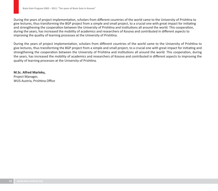During the years of project implementation, scholars from different countries of the world came to the University of Prishtina to give lectures, thus transforming the BGP project from a simple and small project, to a crucial one with great impact for initiating and strengthening the cooperation between the University of Prishtina and institutions all around the world. This cooperation, during the years, has increased the mobility of academics and researchers of Kosova and contributed in different aspects to improving the quality of learning processes at the University of Prishtina.

During the years of project implementation, scholars from different countries of the world came to the University of Prishtina to give lectures, thus transforming the BGP project from a simple and small project, to a crucial one with great impact for initiating and strengthening the cooperation between the University of Prishtina and institutions all around the world. This cooperation, during the years, has increased the mobility of academics and researchers of Kosova and contributed in different aspects to improving the quality of learning processes at the University of Prishtina.

**M.Sc. Alfred Marleku,**  Project Manager, WUS Austria, Prishtina Office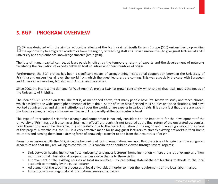# **5. BGP – PROGRAM OVERVIEW**

 $\Box$  GP was designed with the aim to reduce the effects of the brain drain at South Eastern Europe (SEE) universities by providing  $\Box$  the opportunity to emigrated academics from the region, or teaching staff at Austrian university and thus enhance knowledge transfer (brain gain).

The loss of human capital can be, at least partially, offset by the temporary return of experts and the development of networks facilitating the circulation of experts between host countries and their countries of origin.

Furthermore, the BGP project has been a significant means of strengthening institutional cooperation between the University of Prishtina and universities all over the world from which the guest lecturers are coming. This was especially the case with European and American universities, but also with Australian universities.

Since 2002 the interest and demand for WUS Austria's project BGP has grown constantly, which shows that it still meets the needs of the University of Prishtina.

The idea of BGP is based on facts. The fact is, as mentioned above, that many people have left Kosova to study and teach abroad, which has led to the widespread phenomenon of brain drain. Some of them have finished their studies and specializations, and have worked at universities and similar institutions all over the world, or are experts in various fields. It is also a fact that there are gaps in the local teaching capacity at the universities in SEE, especially at the postgraduate level.

This type of international scientific exchange and cooperation is not only considered to be important for the development of the University of Prishtina, but it also has a "brain gain effect", although it is not targeted at the final return of the emigrated academics. Even though this would be desirable, it is not realistic due to the current situation in the region and it would go beyond the scope of this project. Nevertheless, the BGP is a very effective mean for linking guest lecturers to already existing networks in their home countries and turning them into a driving force of knowledge transfer to and from their countries of origin.

From our experience with the BGP, since the beginning of its implementation, we know that there is a lot to gain from the emigrated academics and that they are willing to contribute. This contribution should be viewed through several aspects:

- Link between hosting institution (local university) and guest lecturers' home institution there are a lot of examples of how multifunctional international cooperation can evolve thanks to these visits.
- Improvement of the existing courses at local universities by presenting state-of-the-art teaching methods to the local academic community by the guest lecturer.
- Adjustment of the teaching processes at local universities in order to meet the requirements of the local labor market.
- Fostering national, regional and international research activities.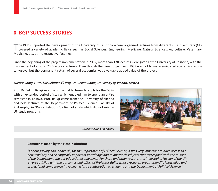# **6. BGP SUCCESS STORIES**

The BGP supported the development of the University of Prishtina where organized lectures from different Guest Lecturers (GL)<br>covered a variety of academic fields such as Social Sciences, Engineering, Medicine, Natural Sci Medicine, etc. at the respective faculties.

Since the beginning of the project implementation in 2002, more than 130 lectures were given at the University of Prishtina, with the involvement of around 70 Diaspora lecturers. Even though the direct objective of BGP was not to make emigrated academics return to Kosova, but the permanent return of several academics was a valuable added value of the project.

#### *Success Story 1: "Public Rela- ons", Prof. Dr. Bekim Baliqi, University of Vienna, Austria*

Prof. Dr. Bekim Baligi was one of the first lecturers to apply for the BGP+ with an extended period of stay which enabled him to spend an entire semester in Kosova. Prof. Baliqi came from the University of Vienna and held lectures at the Department of Political Science (Faculty of Philosophy) in "Public Relations", a field of study which did not exist in UP study programs.

*Students during the lecture*



"For our faculty and, above all, for the Department of Political Science, it was very important to have access to a new scholarly and scientifically important knowledge and to approach subjects that correspond with the mission of the Department and our educational objectives. For these and other reasons, the Philosophic Faculty of the UP *is very satisfied with the outcomes and effort of Professor Baliqi whose research areas, scientific knowledge and* professional competence have been a large contribution to students and the Department of Political Science."

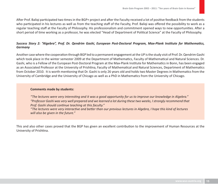After Prof. Baliqi participated two times in the BGP+ project and after the Faculty received a lot of positive feedback from the students who participated in his lectures as well as from the teaching staff of the Faculty, Prof. Baliqi was offered the possibility to work as a regular teaching staff at the Faculty of Philosophy. His professionalism and commitment opened ways to new opportunities. After a short period of time working as a professor, he was elected "Head of Department of Political Science" at the Faculty of Philosophy.

#### *Success Story 2: "Algebra", Prof. Dr. Qendrim Gashi, European Post-Doctoral Program, Max-Plank Institute for Mathematics, Germany*

Another case where the cooperation through BGP led to a permanent engagement at the UP is the study visit of Prof. Dr. Qendrim Gashi which took place in the winter semester 2009 at the Department of Mathematics, Faculty of Mathematical and Natural Sciences. Dr. Gashi, who is a Fellow of the European Post-Doctoral Program at the Max-Plank Institute for Mathematics in Bonn, has been engaged as an Associated Professor at the University of Prishtina, Faculty of Mathematical and Natural Sciences, Department of Mathematics from October 2010. It is worth mentioning that Dr. Gashi is only 26 years old and holds two Master Degrees in Mathematics from the University of Cambridge and the University of Chicago as well as a PhD in Mathematics from the University of Chicago.

#### **Comments made by students:**

"The lectures were very interesting and it was a good opportunity for us to improve our knowledge in Algebra." *"Professor Gashi was very well prepared and we learned a lot during these two weeks, I strongly recommend that Prof. Gashi should con- nue teaching at this faculty."*

"The lectures were very interactive and better than our previous lectures in Algebra, I hope this kind of lectures *will also be given in the future."*

This and also other cases proved that the BGP has given an excellent contribution to the improvement of Human Resources at the University of Prishtina.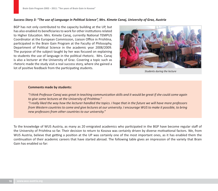#### *Success Story 3: "The use of Language in Political Science", Mrs. Kimete Canaj, University of Graz, Austria*

BGP has not only contributed to the capacity building at the UP, but has also enabled its beneficiaries to work for other institutions related to Higher Education. Mrs. Kimete Canaj, currently National TEMPUS Coordinator at the European Commission, Liaison Office in Prishtina, participated in the Brain Gain Program at the Faculty of Philosophy, Department of Political Science in the academic year 2008/2009. The purpose of the subject taught by her was focused on explaining to students the use of language in the political rhetoric. Mrs. Canaj is also a lecturer at the University of Graz. Covering a topic such as rhetoric made the study visit a real success story, where she gained a lot of positive feedback from the participating students.



*Students during the lecture*

#### **Comments made by students:**

"I think Professor Canaj was great in teaching communication skills and it would be great if she could come again to give some lectures at the University of Prishtina."

*"I really liked the way how the lecturer handled the topics. I hope that in the future we will have more professors from Western countries to come and give lectures at our university. I encourage WUS to make it possible, to bring new professors from other countries to our university."*

To the knowledge of WUS Austria, as many as 20 emigrated academics who participated in the BGP have become regular staff of the University of Prishtina so far. Their decision to return to Kosova was certainly driven by diverse motivational factors. We, from WUS Austria, believe that getting a position at the UP was certainly one of the most important ones, as it has enabled them the continuation of their academic careers that have started abroad. The following table gives an impression of the variety that Brain Gain has enabled so far: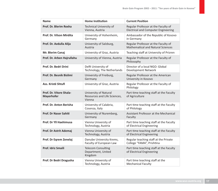| <b>Name</b>                                  | <b>Home Institution</b>                                         | <b>Current Position</b>                                                           |
|----------------------------------------------|-----------------------------------------------------------------|-----------------------------------------------------------------------------------|
| Prof. Dr. Blerim Rexha                       | <b>Technical University of</b><br>Vienna, Austria               | Regular Professor at the Faculty of<br><b>Electrical and Computer Engineering</b> |
| Prof. Dr. Vilson Mirdita                     | University of Hohenheim,<br>Germany                             | Ambassador of the Republic of Kosovo<br>in Germany                                |
| Prof. Dr. Avdulla Alija                      | University of Salzburg,<br>Austria                              | Regular Professor at the Faculty of<br><b>Mathematical and Natural Sciences</b>   |
| Mr. Blerim Canaj                             | University of Graz, Austria                                     | Teaching staff at University of Prizren                                           |
| Prof. Dr. Arben Hajrullahu                   | University of Vienna, Austria                                   | Regular Professor at the Faculty of<br>Philosophy                                 |
| Prof. Dr. Bedri Drini                        | Delft University of<br>Technology, The Netherlands              | Director of a local NGO: Global<br><b>Development Network</b>                     |
| Prof. Dr. Besnik Bislimi                     | University of Freiburg,<br>Germany                              | Regular Professor at the American<br>University in Kosovo                         |
| Ass. Kristë Shtufi                           | University of Graz, Austria                                     | Regular Professor at the Faculty of<br>Philology                                  |
| Prof. Dr. Vitore Shala-<br><b>Mayerhofer</b> | University of Natural<br>Resources and Life Sciences,<br>Vienna | Part time teaching staff at the Faculty<br>of Agriculture                         |
| Prof. Dr. Anton Berisha                      | University of Calabria,<br>Cosenza, Italy                       | Part time teaching staff at the Faculty<br>of Philology                           |
| <b>Prof. Dr Naser Sahiti</b>                 | University of Nuremberg,<br>Germany                             | Assistant Professor at the Mechanical<br>Faculty                                  |
| Prof. Dr Yll Haxhimusa                       | Vienna University of<br>Technology, Austria                     | Part time teaching staff at the Faculty<br>of Electrical Engineering              |
| Prof. Dr Astrit Ademaj                       | Vienna University of<br>Technology, Austria                     | Part time teaching staff at the Faculty<br>of Electrical Engineering              |
| Prof. Dr Eqrem Zenelaj                       | Danube University Krems,<br>Faculty of European Law             | Regular teaching staff at the Private<br>College "FAMA", Prishtina                |
| <b>Prof. Idriz Smaili</b>                    | <b>Telecom Consulting</b><br>Department, United<br>Kingdom      | Part time teaching staff at the Faculty<br>of Electrical Engineering              |
| Prof. Dr Bedri Dragusha                      | Vienna University of<br>Technology, Austria                     | Part time teaching staff at the<br><b>Mechanical Faculty</b>                      |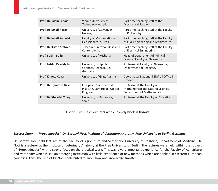| Prof. Dr Salem Lepaja           | Vienna University of<br>Technology, Austria                       | Part time teaching staff at the<br><b>Mechanical Faculty</b>                                   |
|---------------------------------|-------------------------------------------------------------------|------------------------------------------------------------------------------------------------|
| Prof. Dr Ismail Hasani          | University of Stavanger,<br>Norway                                | Part time teaching staff at the Faculty<br>of Philosophy                                       |
| Prof. Dr Ismail Kabashi         | Faculty of Mathematics and<br>Geosciences, Austria                | Part time teaching staff at the Faculty<br>of Civil Engineering and Architecture               |
| <b>Prof. Dr Driton Statovci</b> | Telecommunication Research<br>Center Vienna                       | Part time teaching staff at the Faculty<br>of Electrical Engineering                           |
| Prof. Bekim Baliqi              | University of Prishtina                                           | Head of Department of Political<br>Science, Faculty of Philosophy                              |
| Prof. Lulzim Dragidella         | University of Applied<br>Sciences, Regensburg,<br>Germany         | Professor at Faculty of Philosophy,<br>Department of Pedagogy                                  |
| <b>Prof. Kimete Canaj</b>       | University of Graz, Austria                                       | <b>Coordinator National TEMPUS Office in</b><br>Kosovo                                         |
| Prof. Dr. Qendrim Gashi         | European Post Doctoral<br>Institute, Cambridge, United<br>Kingdom | Professor at the Faculty of<br>Mathematical and Natural Sciences,<br>Department of Mathematics |
| Prof. Dr. Xhevdet Thaqi         | University of Barcelona,<br>Spain                                 | Professor at the Faculty of Education                                                          |

#### **List of BGP Guest Lecturers who currently work in Kosova**

#### *Success Story 4: "Propaedeutics", Dr. Bardhyl Noci, Institute of Veterinary Anatomy, Free University of Berlin, Germany*

Dr. Bardhyl Noci held lectures at the Faculty of Agriculture and Veterinary, University of Prishtina, Department of Medicine. Dr. Noci is a lecturer at the Institute of Veterinary Anatomy at the Free University of Berlin. The lectures were held within the subject of "Propaedeutics" with a strong focus on the practical work. This was a very important experience for the Faculty of Agriculture and Veterinary which is still an emerging institution with little experience of new methods which are applied in Western European countries. Thus, the visit of Dr. Noci contributed to know-how and knowledge transfer.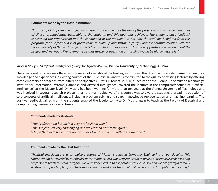#### **Comments made by the Host Institution:**

*"From our point of view the project was a great success because the aim of the project was to make new methods*  of clinical propaedeutics accessible to the students and this goal was achieved. The students gave feedback concerning the organization and the conducting of the module. But not only the students benefited from this *program, for our faculty it is of great value to build up and sustain a fruitful and cooperative relation with the* Free University of Berlin, through projects like this. In summary, we can draw a very positive conclusion about the *project and we would like to emphasize that further coopera- on of this kind would be highly desirable."*

#### *Success Story 5: "Ar- fi cial Intelligence", Prof. Dr. Nysret Musliu, Vienna University of Technology, Austria*

There were not only courses offered which were not available at the hosting institutions, the Guest Lecturers also came to share their knowledge and experiences in existing courses of the UP curricula, and thus contributed to the quality of existing lectures by offering complementary approaches from different perspectives. Prof. Dr. Nyrset Musliu, a lecturer at the Vienna University of Technology, Institute for Information Systems, Database and Artificial Intelligence, covered the lectures in the compulsory course of "Artificial Intelligence" at the Master level. Dr. Musliu has been working for more than ten years at the Vienna University of Technology and was involved in several research projects, thus, the main objective of this course was to give the students a broad introduction of core concepts of artificial intelligence, including problem solving and search, knowledge representation and machine learning. The positive feedback gained from the students enabled the faculty to invite Dr. Musliu again to teach at the Faculty of Electrical and Computer Engineering for several times.

#### **Comments made by students:**

*"The Professor did his job in a very professional way." "The subject was very challenging and we learned new techniques."* "I hope that we'll have more opportunities like this to learn with these methods."

#### **Comments made by the Host Institution:**

"Artificial Intelligence is a compulsory course of Master studies in Computer Engineering at our Faculty. This course cannot be covered by our faculty at the moment, so it was very important to have Dr. Nysret Musliu as a visiting *professor to teach this course again. We were very pleased to cooperate with Dr. Musliu and we are grateful to WUS*  Austria for supporting him, and thus supporting the studies at the Faculty of Electrical and Computer Engineering."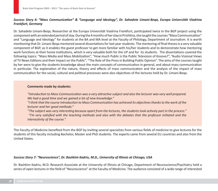### *Success Story 6: "Mass Communication" & "Language and Ideology", Dr. Sahadete Limani-Beqa, Europa Universität Viadrina Frankfurt, Germany*

Dr. Sahadete Limani-Beqa, Researcher at the Europa Universität Viadrina Frankfurt, participated twice in the BGP project using the component with an extended period of stay. During the 4 months of her stay in Prishtina, she taught the courses "Mass Communication" and "Language and Ideology" for students at the BA and MA level at the Faculty of Philology, Department of Journalism. It is worth mentioning that Dr. Limani-Beqa mentored several dissertations for last-year students. The mentoring of final theses is a very valuable component of BGP, as it enables the guest professor to get more familiar with his/her students and to demonstrate how mentoring work functions at their home institutions, which is very valuable both for the UP and for its students. The dissertations covered the following topics: "Mass Media and Mass Mobilization", "How much Public is the Public Television of Kosovo?", "Audio Visional Views of TV News Editions and their Impact on the Public", "The Role of the Press in Building Public Opinion". The aims of the courses taught by her were to give the students knowledge about the main concepts of communication in general, and about mass communication in particular. The explanation of the nature, theory and effects of mass communication and the analysis of the impact of mass communication for the social, cultural and political processes were also objectives of the lectures held by Dr. Limani-Beqa.

#### **Comments made by students:**

"Introduction to Mass Communication was a very attractive subject and also the lecturer was very well prepared. *We had a good - me and we gained a lot of new knowledge."*

"I think that the course Introduction to Mass Communication has achieved its objectives thanks to the work of the *lecturer and her good methods."*

"The subject was very interesting because apart from the lectures, the students took actively part in the process." *a i'm very satisfied with the teaching methods and also with the debates that the professor initiated and the interac- vity of the course."*

The Faculty of Medicine benefited from the BGP by inviting several specialists from various fields of medicine to give lectures for the students of this faculty including Bachelor, Master and PhD students. The experts came from several EU countries and also from the United States.

#### *Success Story 7: "Neuroscience", Dr. Bashkim Kadriu, M.D., University of Illinois at Chicago, USA*

Dr. Bashkim Kadriu, M.D. Research Associate at the University of Illinois at Chicago, Department of Neuroscience/Psychiatry held a series of open lectures in the field of "Neuroscience" at the Faculty of Medicine. The audience consisted of a wide range of interested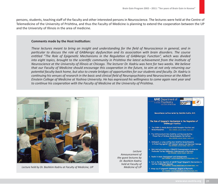persons, students, teaching staff of the faculty and other interested persons in Neuroscience. The lectures were held at the Centre of Telemedicine of the University of Prishtina, and thus the Faculty of Medicine is planning to extend the cooperation between the UP and the University of Illinois in the area of medicine.

#### **Comments made by the Host Institution:**

*These lectures meant to bring an insight and understanding for the field of Neuroscience in general, and in* particular to discuss the role of GABAergic dysfunction and its association with brain disorders. The course entitled "The Role of Epigenetic Mechanisms in the Regulation of GABAergic Function", which was divided *into eight topics, brought to the scientific community in Prishtina the latest achievement from the Institute of Neuroscience at the University of Illinois at Chicago. The lecturer Dr. Kadriu was here for two weeks. We believe*  that our Faculty of Medicine should encourage this cooperation in the future, to aim at not only returning our potential faculty back home, but also to create bridges of opportunities for our students and faculty. Dr. Kadriu is continuing his venues of research in the basic and clinical field of Neuropsychiatry and Neuroscience at the Albert *Einstein College of Medicine at Yoshiva University. He has expressed his willingness to come again next year and*  to continue his cooperation with the Faculty of Medicine at the University of Prishtina.

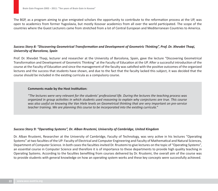The BGP, as a program aiming to give emigrated scholars the opportunity to contribute to the reformation process at the UP, was open to academics from former Yugoslavia, but mostly Kosovar academics from all over the world participated. The scope of the countries where the Guest Lecturers came from stretched from a lot of Central European and Mediterranean Countries to America.

### Success Story 8: "Discovering Geometrical Transformation and Development of Geometric Thinking", Prof. Dr. Xhevdet Thaqi, *University of Barcelona, Spain*

Prof. Dr. Xhevdet Thaqi, lecturer and researcher at the University of Barcelona, Spain, gave the lecture "Discovering Geometrical Transformation and Development of Geometric Thinking" at the Faculty of Education at the UP. After a successful introduction of the course at the Faculty of Education and since the management of the faculty was satisfied with the positive outcomes of the organized lectures and the success that students have shown, and due to the fact that the faculty lacked this subject, it was decided that the course should be included in the existing curricula as a compulsory course.

#### **Comments made by the Host Institution:**

*"The lectures were very relevant for the students' professional life. During the lectures the teaching process was organized in group activities in which students used reasoning to explain why conjectures are true. This course was also useful on knowing the Van Hiele levels on Geometrical thinking that are very important on pre-service*  teacher training. We are planning this course to be incorporated into the existing curricula."

#### *Success Story 9: "Opera- ng Systems", Dr. Alban Rrustemi, University of Cambridge, United Kingdom*

Dr. Alban Rrustemi, Researcher at the University of Cambridge, Faculty of Technology, was very active in his lectures "Operating Systems" at two faculties of the UP: Faculty of Electrical and Computer Engineering and Faculty of Mathematical and Natural Sciences, Department of Computer Science. In both cases the faculties invited Dr. Rrustemi to give lectures on the topic of "Operating Systems", an essential course in Computer Science and therefore it is of importance to these departments to provide high quality teaching in Operating Systems. According to the faculties benefiting from courses delivered by Dr. Rrustemi, the overall aim of the course was to provide students with general knowledge on how an operating system works and these key concepts were successfully achieved.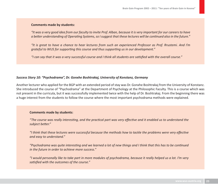#### **Comments made by students:**

*"It was a very good idea from our faculty to invite Prof. Alban, because it is very important for our careers to have*  a better understanding of Operating Systems, so I suggest that these lectures will be continued also in the future."

*"It is great to have a chance to hear lectures from such an experienced Professor as Prof. Rrustemi. And I'm*  grateful to WUS for supporting this course and thus supporting us in our development."

"I can say that it was a very successful course and I think all students are satisfied with the overall course."

#### *Success Story 10: "Psychodrama", Dr. Gonxhe Boshtrakaj, University of Konstanz, Germany*

Another lecturer who applied for the BGP with an extended period of stay was Dr. Gonxhe Boshtrakaj from the University of Konstanz. She introduced the course of "Psychodrama" at the Department of Psychology at the Philosophic Faculty. This is a course which was not present in the curricula, but it was successfully implemented twice with the help of Dr. Boshtrakaj. From the beginning there was a huge interest from the students to follow the course where the most important psychodrama methods were explained.

#### **Comments made by students:**

"The course was really interesting, and the practical part was very effective and it enabled us to understand the subject better."

"I think that these lectures were successful because the methods how to tackle the problems were very effective *and easy to understand."*

"Psychodrama was quite interesting and we learned a lot of new things and I think that this has to be continued *in the future in order to achieve more success."*

*"I would personally like to take part in more modules of psychodrama, because it really helped us a lot. I'm very sa- sfi ed with the outcomes of the course."*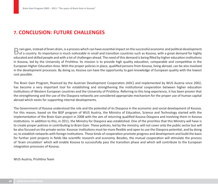# **7. CONCLUSION: FUTURE CHALLENGES**

 $\Box$  rain gain, instead of brain drain, is a process which can have essential impact on the successful economic and political development<br> $\Box$  of a country. Its importance is much noticeable in small and transition countr  $\Box$  rain gain, instead of brain drain, is a process which can have essential impact on the successful economic and political development educated and skilled people and with a lot of challenges ahead. The need of this demand is being filled by higher education institutions in Kosova, led by the University of Prishtina. Its mission is to provide high quality education, comparable and competitive in the European Higher Education Area. With the proper policies in place, qualified persons from Kosova, living abroad, can be also involved in the development processes. By doing so, Kosova can have the opportunity to gain knowledge of European quality with the lowest cost possible.

The Brain Gain Program, financed by the Austrian Development Cooperation (ADC) and implemented by WUS Austria since 2002, has become a very important tool for establishing and strengthening the institutional cooperation between higher education institutions of Western European countries and the University of Prishtina. Referring to this long experience, it has been proven that the strengthening and the use of the Diaspora networks are considered appropriate mechanism for the proper use of human capital abroad which exists for supporting internal developments.

The Government of Kosova understood the role and the potential of its Diaspora in the economic and social development of Kosova. For this reason, based on the BGP program of WUS Austria, the Ministry of Education, Science and Technology started with the implementation of the Brain Gain project in 2008 with the aim of returning qualified Kosova Diaspora and involving them in Kosova institutions. In addition to this, in 2011, the Ministry for Diaspora was established. One of the priorities that this Ministry will have is to create proper policies in contributing to Brain Gain. These policies, led by the ministry, will not cover only the public sector but will be also focused on the private sector. Kosovar institutions must be more flexible and open to use the Diaspora potential, and by doing so, to establish networks with foreign institutions. These kinds of cooperation promote progress and development and build the basis for further joint projects in fields like scientific research and economy. Besides, the mutual cooperation will stimulate the process of 'brain circulation' which will enable Kosova to successfully pass the transition phase and which will contribute to the European integration processes of Kosova.

WUS Austria, Prishtina Team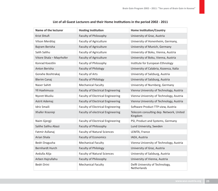| Name of the lecturer     | <b>Hosting Institution</b>               | <b>Home Institution/Country</b>                    |
|--------------------------|------------------------------------------|----------------------------------------------------|
| Krist Shtufi             | Faculty of Philosophy                    | University of Graz, Austria                        |
| Vilson Merditaj          | <b>Faculty of Agriculture</b>            | University of Honenheim, Germany,                  |
| Bajram Berisha           | <b>Faculty of Agriculture</b>            | University of Munich, Germany                      |
| Salih Salihu             | <b>Faculty of Agriculture</b>            | University of Boku, Vienna, Austria                |
| Vitore Shala - Mayrhofer | <b>Faculty of Agriculture</b>            | University of Boku, Vienna, Austria                |
| Konrad Koestlin          | Faculty of Philosophy                    | Institute for European Ethnology                   |
| Anton Berisha            | <b>Faculty of Philology</b>              | University of Calabria, Kozenca, Italia            |
| Gonxhe Boshtrakaj        | Faculty of Arts                          | University of Salzburg, Austria                    |
| <b>Blerim Canaj</b>      | <b>Faculty of Philology</b>              | University of Salzburg, Austria                    |
| Naser Sahiti             | <b>Mechanical Faculty</b>                | University of Nurnberg, Germany                    |
| <b>Yll Haxhimusa</b>     | <b>Faculty of Electrical Engineering</b> | Vienna University of Technology, Austria           |
| <b>Nysret Musliu</b>     | <b>Faculty of Electrical Engineering</b> | Vienna University of Technology, Asutria           |
| Astrit Ademaj            | <b>Faculty of Electrical Engineering</b> | Vienna University of Technology, Austria           |
| <b>Idriz Smaili</b>      | <b>Faculty of Electrical Engineering</b> | Software Product TTP-view, Austria                 |
| Xhafer Krasniqi          | Faculty of electrical Engineering        | Telecom consulting dep. Network, United<br>Kingdom |
| Naim Gjergji             | <b>Faculty of Electrical Engineering</b> | PSI, Product and Systems, Germany                  |
| Salihe Salihu Abazi      | Faculty of Philosophy                    | Lund University, Sweden                            |
| Fatmir Asllanaj          | <b>Faculty of Natural Sciences</b>       | LEMTA, France                                      |
| Arian Shala              | <b>Faculty of Economics</b>              | IAEA, Austria                                      |
| Bedri Dragusha           | <b>Mechanical Faculty</b>                | Vienna University of Technology, Austria           |
| <b>Bernhardt Hurch</b>   | <b>Faculty of Philology</b>              | University of Graz, Austria                        |
| Avdulla Alija            | <b>Faculty of Natural Sciences</b>       | University of Salzburg, Austria                    |
| Arben Hajrullahu         | Faculty of Philosophy                    | University of Vienna, Austria                      |
| Bedri Drini              | <b>Mechanical Faculty</b>                | Delft University of Technology,<br>Netherlands     |

#### List of all Guest Lecturers and their Home Institutions in the period 2002 - 2011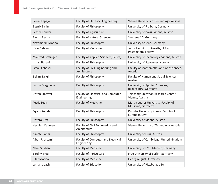| Salem Lepaja             | <b>Faculty of Electrical Engineering</b>                 | Vienna University of Technology, Austria                       |
|--------------------------|----------------------------------------------------------|----------------------------------------------------------------|
| Besnik Bislimi           | Faculty of Philosophy                                    | University of Freiberg, Germany                                |
| Peter Cepuder            | <b>Faculty of Agriculture</b>                            | University of Boku, Vienna, Austria                            |
| <b>Blerim Rexha</b>      | <b>Faculty of Natural Sciences</b>                       | Siemens AG, Germany                                            |
| Nexhmedin Morina         | Faculty of Philosophy                                    | Univeristy of Jena, Germany                                    |
| Visar Belegu             | <b>Faculty of Medicine</b>                               | Johns Hopkins University, U.S.A,<br><b>Postdoctoral Fellow</b> |
| <b>Manfred Grafinger</b> | Faculty of Applied Sciences, Ferizaj                     | University of Technology, Vienna, Austria                      |
| Ismail Hasani            | Faculty of Philosophy                                    | University of Stavanger, Norway                                |
| Ismail Kabashi           | Faculty of Civil Engineering and<br>Architecture         | Faculty of Mathematics and Geosciences,<br>Austria             |
| Bekim Baliqi             | Faculty of Philosophy                                    | Faculty of Human and Social Sciences,<br>Austria               |
| Lulzim Dragidella        | Faculty of Philosophy                                    | University of Applied Sciences,<br>Regensburg, Germany         |
| <b>Driton Statovci</b>   | Faculty of Electrical and Computer<br>Engineering        | <b>Telecommunication Research Center</b><br>Vienna, Austria    |
| Petrit Begiri            | <b>Faculty of Medicine</b>                               | Martin Luther University, Faculty of<br>Medicine, Germany      |
| Eqrem Zenelaj            | Faculty of Philosophy                                    | Danube University Krems, Faculty of<br>European Law            |
| Dritero Arifi            | Faculty of Philosophy                                    | University of Vienna, Austria                                  |
| Herbiert Kahmen          | Faculty of Civil Engineering and<br>Architecture         | Vienna University of Technology, Austria                       |
| Kimete Canaj             | Faculty of Philosophy                                    | University of Graz, Austria                                    |
| Alban Rrustemi           | <b>Faculty of Computer and Electrical</b><br>Engineering | University of Cambridge, United Kingdom                        |
| Naim Shabani             | <b>Faculty of Medicine</b>                               | University of LMU Munich, Germany                              |
| <b>Bardhyl Noci</b>      | Faculty of Agriculture                                   | Free University of Berlin, Germany                             |
| <b>Rifat Morina</b>      | <b>Faculty of Medicine</b>                               | Georg-August University                                        |
| Lema Kabashi             | Faculty of Education                                     | University of Pittsburg, USA                                   |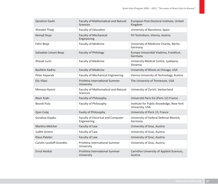| Qendrim Gashi                    | Faculty of Mathematical and Natural<br><b>Sciences</b> | European Post-Doctoral Institute, United<br>Kingdom         |
|----------------------------------|--------------------------------------------------------|-------------------------------------------------------------|
| Xhevdet Thaqi                    | <b>Faculty of Education</b>                            | University of Barcelona, Spain                              |
| Kemajl Stuja                     | <b>Faculty of Mechanical</b><br>Engineering            | FH Technikum, Vienna, Austria                               |
| Fahri Bega                       | <b>Faculty of Medicine</b>                             | University of Medicine Charite, Berlin,<br>Germany          |
| Sahadete Limani Beqa             | <b>Faculty of Philology</b>                            | Europa Universität Viadrina, Frankfurt,<br>Germany          |
| Xhevat Lumi                      | <b>Faculty of Medicine</b>                             | University Medical Centre, Ljubljana,<br>Slovenia           |
| Bashkim Kadriu                   | <b>Faculty of Medicine</b>                             | University of Illinois at Chicago, USA                      |
| Peter Kopacek                    | <b>Faculty of Mechanical Engineering</b>               | Vienna University of Technology, Austria                    |
| Elis Vllasi                      | Prishtina International Summer<br>University           | The University of Tennessee, USA                            |
| Mimoza Hyseni                    | Faculty of Mathematical and Natural<br><b>Sciences</b> | University of Zurich, Switzerland                           |
| Nezir Kraki                      | Faculty of Philosophy                                  | Université Paris Est (Paris 12) France                      |
| <b>Besnik Pula</b>               | Faculty of Philosophy                                  | Institute for Public Knowledge, New York<br>University, USA |
| Gjon Culaj                       | Faulty of Philosophy                                   | University of Paris 13, France                              |
| Gurakuq Dajaku                   | Faculty of Electrical and Computer<br>Engineering      | University of Federal Defense Munich,<br>Germany            |
| <b>Martina Melcher</b>           | Faculty of Law                                         | University of Graz, Austria                                 |
| Judith Grimm                     | Faculty of Law                                         | University of Graz, Austria                                 |
| <b>Klaus Pateter</b>             | Faculty of Law                                         | University of Graz, Austria                                 |
| <b>Carolin Leutloff-Grandits</b> | Prishtina International Summer<br>University           | University of Graz, Austria                                 |
| <b>Ernst Heiduk</b>              | Prishtina International Summer<br>University           | Carinthia University of Applied Sciences,<br>Austria        |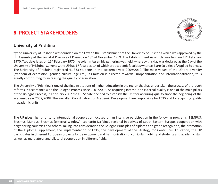# **8. PROJECT STAKEHOLDERS**



### **University of Prishtina**

The University of Prishtina was founded on the Law on the Establishment of the University of Prishtina which was approved by the Assembly of the Socialist Province of Kosovo on 18<sup>th</sup> of November 1969. The Establishment A The University of Prishtina was founded on the Law on the Establishment of the University of Prishtina which was approved by the 1970. Two days later, on 15<sup>th</sup> February 1970 the solemn Assembly gathering was held, whereby this day was declared as the Day of the University of Prishtina. Currently, the UP has 17 faculties, 14 of which are academic faculties whereas 3 are faculties of Applied Sciences. The University of Prishtina registered 41,833 students in the academic year 2009/2010. The main values of the UP are diversity (freedom of expression, gender, culture, age etc.). Its mission is directed towards Europeanization and Internationalization, thus greatly contributing to increasing the quality of education.

The University of Prishtina is one of the first institutions of higher education in the region that has undertaken the process of thorough reforms in accordance with the Bologna Process since 2001/2002. As acquiring internal and external quality is one of the main pillars of the Bologna Process, in February 2007 the UP Senate decided to establish the Unit for acquiring quality since the beginning of the academic year 2007/2008. The so-called Coordinators for Academic Development are responsible for ECTS and for acquiring quality in academic units.

The UP gives high priority to international cooperation focused on an intensive participation in the following programs: TEMPUS, Erasmus Mundus, Erasmus (external window), Leonardo Da Vinci, regional initiatives of South Eastern Europe, cooperation with neighboring countries and others. Taking into consideration the Bologna Principles of diploma and grade recognition, the promotion of the Diploma Supplement, the implementation of ECTS, the development of the Strategy for Continuous Education, the UP participates in different European projects for development and harmonization of curricula, mobility of students and academic staff as well as multilateral and bilateral cooperation in different fields.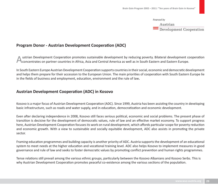financed by

Austrian  $\overline{\phantom{a}}$  Development Cooperation

### **Program Donor - Austrian Development Cooperation (ADC)**

A ustrian Development Cooperation promotes sustainable development by reducing poverty. Bilateral development cooperation<br>Concentrates on partner countries in Africa, Asia and Central America as well as in South Eastern an ustrian Development Cooperation promotes sustainable development by reducing poverty. Bilateral development cooperation

In South Eastern Europe Austrian Development Cooperation supports countries in their social, economic and democratic development and helps them prepare for their accession to the European Union. The main priorities of cooperation with South Eastern Europe lie in the fields of business and employment, education, environment and the rule of law**.** 

### **Austrian Development Cooperation (ADC) in Kosovo**

Kosovo is a major focus of Austrian Development Cooperation (ADC). Since 1999, Austria has been assisting the country in developing basic infrastructure, such as roads and water supply, and in education, democratization and economic development.

Even after declaring independence in 2008, Kosovo still faces serious political, economic and social problems. The present phase of transition is decisive for the development of democratic values, rule of law and an effective market economy. To support progress here, Austrian Development Cooperation focuses its work on rural development, which affords particular scope for poverty reduction and economic growth. With a view to sustainable and socially equitable development, ADC also assists in promoting the private sector.

Framing education programmes and building capacity is another priority of ADC. Austria supports the development of an educational system to meet needs at the higher education and vocational training level. ADC also helps Kosovo to implement measures in good governance and rule of law and seeks to foster democratic values by promoting conflict prevention and human rights programmes.

Tense relations still prevail among the various ethnic groups, particularly between the Kosovo Albanians and Kosovo Serbs. This is why Austrian Development Cooperation promotes peaceful co-existence among the various sections of the population.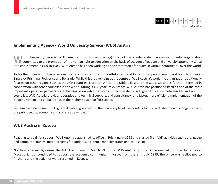

right to education

### Implementing Agency - World University Service (WUS) Austria

World University Service (WUS) Austria (www.wus-austria.org) is a politically independent, non-governmental organization<br>Committed to the promotion of the human right to education on the basis of academic freedom and unive lorld University Service (WUS) Austria (www.wus-austria.org) is a politically independent, non-governmental organization its establishment in Graz in 1983, WUS Austria has been working on the promotion of this aim in various countries all over the world.

Today the organization has a regional focus on the countries of South-Eastern and Eastern Europe and employs 4 branch offices in Sarajevo, Prishtina, Podgorica and Belgrade. While this area remains at the centre of WUS Austria's work, the organization additionally focuses on other regions such as the ACP countries, Northern Africa, the Middle East and the Caucasus and is further interested in cooperation with other countries in the world. During its 28 years of existence WUS Austria has positioned itself as one of the most important operative partners for enhancing knowledge transfer and comparability in Higher Education between EU and non EU countries. WUS Austria provides operative and technical support, and consultancy for a faster, more efficient implementation of the Bologna system and global trends in the Higher Education (HE) sector.

Sustainable development of Higher Education goes beyond the university level. Responding to this, WUS Austria works together with the public sector, economy and society as a whole.

### **WUS Austria in Kosova**

Reacting to a call for support, WUS Austria established its office in Prishtina in 1998 and started first "aid" activities such as language and computer courses, micro-projects for students, academic mobility grants and counseling.

Not long afterwards, during the NATO air strikes in March 1999, the WUS Austria Pristina Office needed to move to Tetovo in Macedonia, but continued to support the academic community in Kosova from there. In July 1999, the office was reallocated to Prishtina and the activities were resumed in Kosova.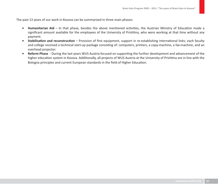The past 13 years of our work in Kosova can be summarized in three main phases:

- Humanitarian Aid In that phase, besides the above mentioned activities, the Austrian Ministry of Education made a significant amount available for the employees of the University of Prishtina, who were working at that time without any payment.
- **Stabilisation and reconstruction** Provision of first equipment, support in re-establishing international links; each faculty and college received a technical start-up package consisting of: computers, printers, a copy-machine, a fax-machine, and an overhead projector.
- **Reform Phase** During the last years WUS Austria focused on supporting the further development and advancement of the higher education system in Kosova. Additionally, all projects of WUS Austria at the University of Prishtina are in line with the Bologna principles and current European standards in the field of Higher Education.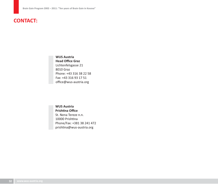# **CONTACT:**

**WUS Austria Head Offi ce Graz** Lichtenfelsgasse 21 8010 Graz Phone: +43 316 38 22 58Fax: +43 316 93 17 51office@wus-austria.org

**WUS Austria**Prishtina Office St. Nena Tereze n.n. 10000 Prishtina Phone/Fax: +381 38 241 472 prishtina@wus-austria.org